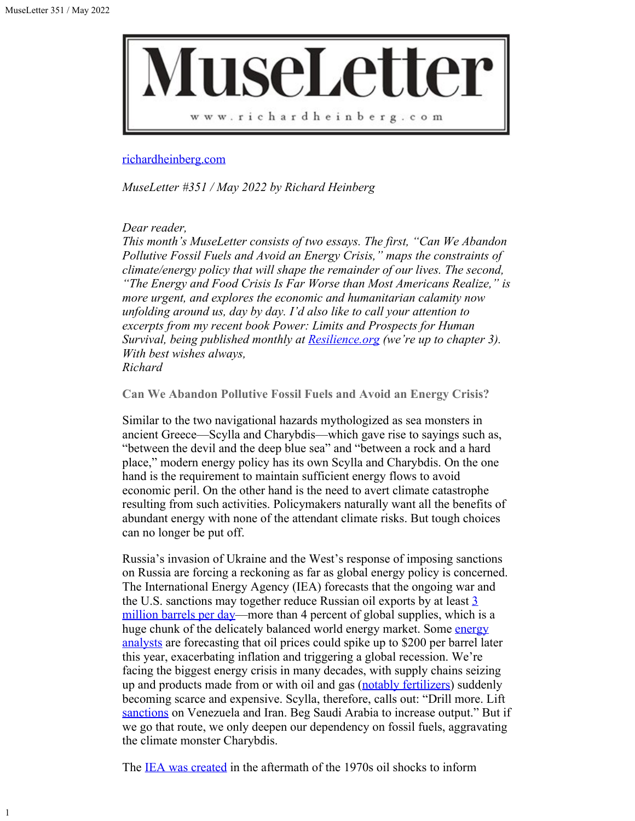1



[richardheinberg.com](http://richardheinberg.com/)

*MuseLetter #351 / May 2022 by Richard Heinberg*

### *Dear reader,*

*This month's MuseLetter consists of two essays. The first, "Can We Abandon Pollutive Fossil Fuels and Avoid an Energy Crisis," maps the constraints of climate/energy policy that will shape the remainder of our lives. The second, "The Energy and Food Crisis Is Far Worse than Most Americans Realize," is more urgent, and explores the economic and humanitarian calamity now unfolding around us, day by day. I'd also like to call your attention to excerpts from my recent book Power: Limits and Prospects for Human Survival, being published monthly at [Resilience.org](https://www.resilience.org/excerpts-from-power-2021/) (we're up to chapter 3). With best wishes always, Richard*

**Can We Abandon Pollutive Fossil Fuels and Avoid an Energy Crisis?**

Similar to the two navigational hazards mythologized as sea monsters in ancient Greece—Scylla and Charybdis—which gave rise to sayings such as, "between the devil and the deep blue sea" and "between a rock and a hard place," modern energy policy has its own Scylla and Charybdis. On the one hand is the requirement to maintain sufficient energy flows to avoid economic peril. On the other hand is the need to avert climate catastrophe resulting from such activities. Policymakers naturally want all the benefits of abundant energy with none of the attendant climate risks. But tough choices can no longer be put off.

Russia's invasion of Ukraine and the West's response of imposing sanctions on Russia are forcing a reckoning as far as global energy policy is concerned. The International Energy Agency (IEA) forecasts that the ongoing war and the U.S. sanctions may together reduce Russian oil exports by at least  $\frac{3}{2}$ [million barrels per day—](https://www.cnbc.com/2022/03/16/oil-market-heads-for-biggest-supply-crisis-in-decades-with-russias-exports-set-to-fall-iea-says.html)more than 4 percent of global supplies, which is a huge chunk of the delicately balanced world [energy](https://financialpost.com/commodities/energy/oil-gas/200-oil-could-lead-to-global-recession-jeff-rubin) market. Some energy [analysts](https://financialpost.com/commodities/energy/oil-gas/200-oil-could-lead-to-global-recession-jeff-rubin) are forecasting that oil prices could spike up to \$200 per barrel later this year, exacerbating inflation and triggering a global recession. We're facing the biggest energy crisis in many decades, with supply chains seizing up and products made from or with oil and gas [\(notably fertilizers](https://www.cnbc.com/2022/04/06/a-fertilizer-shortage-worsened-by-war-in-ukraine-is-driving-up-global-food-prices-and-scarcity.html)) suddenly becoming scarce and expensive. Scylla, therefore, calls out: "Drill more. Lift [sanctions](https://time.com/6156621/russian-oil-biden-administration-solution/) on Venezuela and Iran. Beg Saudi Arabia to increase output." But if we go that route, we only deepen our dependency on fossil fuels, aggravating the climate monster Charybdis.

The **IEA** was created in the aftermath of the 1970s oil shocks to inform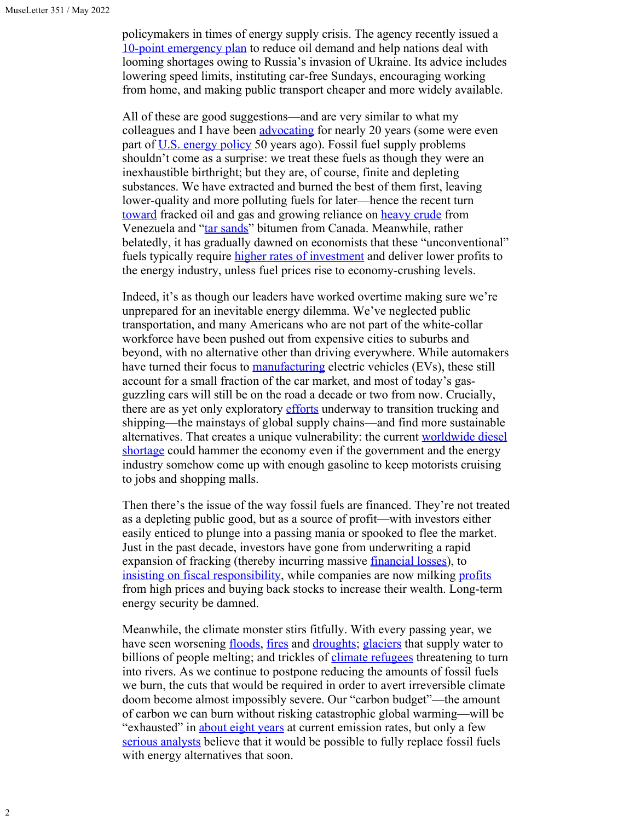policymakers in times of energy supply crisis. The agency recently issued a [10-point emergency plan](https://www.iea.org/reports/a-10-point-plan-to-cut-oil-use) to reduce oil demand and help nations deal with looming shortages owing to Russia's invasion of Ukraine. Its advice includes lowering speed limits, instituting car-free Sundays, encouraging working from home, and making public transport cheaper and more widely available.

All of these are good suggestions—and are very similar to what my colleagues and I have been [advocating](https://web.archive.org/web/20091215043338/http:/www.netl.doe.gov/publications/others/pdf/Oil_Peaking_NETL.pdf) for nearly 20 years (some were even part of <u>[U.S. energy policy](https://www.cfr.org/timeline/oil-dependence-and-us-foreign-policy)</u> 50 years ago). Fossil fuel supply problems shouldn't come as a surprise: we treat these fuels as though they were an inexhaustible birthright; but they are, of course, finite and depleting substances. We have extracted and burned the best of them first, leaving lower-quality and more polluting fuels for later—hence the recent turn [toward](https://time.com/5187074/fracking-energy-oil-natural-gas/) fracked oil and gas and growing reliance on [heavy crude](https://www.reuters.com/markets/us/venezuelas-february-oil-exports-boosted-by-heavy-crude-fuel-oil-sales-data-2022-03-02/) from Venezuela and ["tar sands](https://insideclimatenews.org/news/21112021/tar-sands-canada-oil/)" bitumen from Canada. Meanwhile, rather belatedly, it has gradually dawned on economists that these "unconventional" fuels typically require *higher rates of investment* and deliver lower profits to the energy industry, unless fuel prices rise to economy-crushing levels.

Indeed, it's as though our leaders have worked overtime making sure we're unprepared for an inevitable energy dilemma. We've neglected public transportation, and many Americans who are not part of the white-collar workforce have been pushed out from expensive cities to suburbs and beyond, with no alternative other than driving everywhere. While automakers have turned their focus to [manufacturing](https://www.cnn.com/interactive/2019/08/business/electric-cars-audi-volkswagen-tesla/) electric vehicles (EVs), these still account for a small fraction of the car market, and most of today's gasguzzling cars will still be on the road a decade or two from now. Crucially, there are as yet only exploratory [efforts](https://www.weforum.org/agenda/2021/08/how-to-decarbonize-heavy-duty-transport-affordable/) underway to transition trucking and shipping—the mainstays of global supply chains—and find more sustainable alternatives. That creates a unique vulnerability: the current [worldwide diesel](https://oilprice.com/Energy/Energy-General/Rationing-Looms-As-Diesel-Crisis-Goes-Global.html) [shortage](https://oilprice.com/Energy/Energy-General/Rationing-Looms-As-Diesel-Crisis-Goes-Global.html) could hammer the economy even if the government and the energy industry somehow come up with enough gasoline to keep motorists cruising to jobs and shopping malls.

Then there's the issue of the way fossil fuels are financed. They're not treated as a depleting public good, but as a source of profit—with investors either easily enticed to plunge into a passing mania or spooked to flee the market. Just in the past decade, investors have gone from underwriting a rapid expansion of fracking (thereby incurring massive <u>financial losses</u>), to [insisting on fiscal responsibility](https://www.post-gazette.com/business/powersource/2022/04/02/texas-fracking-drilling-oil-consumers-prices-profit-gasoline-natural-gas-shale-investors-spending-dividends-stock-buybacks/stories/202204020026), while companies are now milking [profits](https://www.washingtonpost.com/politics/2022/04/05/big-oil-companies-are-using-wartime-profits-enrich-investors-report-says/) from high prices and buying back stocks to increase their wealth. Long-term energy security be damned.

Meanwhile, the climate monster stirs fitfully. With every passing year, we have seen worsening [floods,](https://www.ft.com/content/f669a4ce-0b61-4de6-a3fa-32d15e5faefa) [fires](https://www.cnn.com/2022/03/21/us/texas-wildfires-monday/index.html) and [droughts](https://www.independent.co.uk/climate-change/news/us-drought-expand-california-southwest-b2040133.html); [glaciers](https://asiasociety.org/center-us-china-relations/ep3-himalayas-melting-glaciers-impact-billions) that supply water to billions of people melting; and trickles of *climate refugees* threatening to turn into rivers. As we continue to postpone reducing the amounts of fossil fuels we burn, the cuts that would be required in order to avert irreversible climate doom become almost impossibly severe. Our "carbon budget"—the amount of carbon we can burn without risking catastrophic global warming—will be "exhausted" in [about eight years](https://www.forbes.com/sites/dishashetty/2020/12/11/world-is-set-to-exhaust-carbon-budget-in-10-years/?sh=5544a4712fa9) at current emission rates, but only a few [serious analysts](https://www.vox.com/energy-and-environment/2017/4/7/15159034/100-renewable-energy-studies) believe that it would be possible to fully replace fossil fuels with energy alternatives that soon.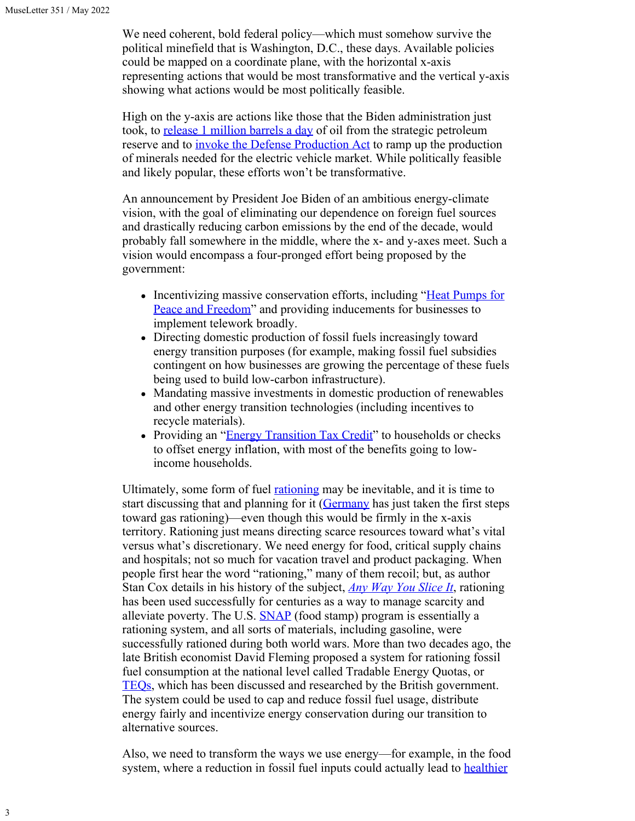We need coherent, bold federal policy—which must somehow survive the political minefield that is Washington, D.C., these days. Available policies could be mapped on a coordinate plane, with the horizontal x-axis representing actions that would be most transformative and the vertical y-axis showing what actions would be most politically feasible.

High on the y-axis are actions like those that the Biden administration just took, to [release 1 million barrels a day](https://www.washingtonpost.com/us-policy/2022/03/30/white-house-oil-reserves/) of oil from the strategic petroleum reserve and to *invoke the Defense Production Act* to ramp up the production of minerals needed for the electric vehicle market. While politically feasible and likely popular, these efforts won't be transformative.

An announcement by President Joe Biden of an ambitious energy-climate vision, with the goal of eliminating our dependence on foreign fuel sources and drastically reducing carbon emissions by the end of the decade, would probably fall somewhere in the middle, where the x- and y-axes meet. Such a vision would encompass a four-pronged effort being proposed by the government:

- Incentivizing massive conservation efforts, including ["Heat Pumps for](https://billmckibben.substack.com/p/heat-pumps-for-peace-and-freedom?s=r) [Peace and Freedom"](https://billmckibben.substack.com/p/heat-pumps-for-peace-and-freedom?s=r) and providing inducements for businesses to implement telework broadly.
- Directing domestic production of fossil fuels increasingly toward energy transition purposes (for example, making fossil fuel subsidies contingent on how businesses are growing the percentage of these fuels being used to build low-carbon infrastructure).
- Mandating massive investments in domestic production of renewables and other energy transition technologies (including incentives to recycle materials).
- Providing an "[Energy Transition Tax Credit](https://www.climatepolicydatabase.org/policies/energy-transition-tax-credit-cite)" to households or checks to offset energy inflation, with most of the benefits going to lowincome households.

Ultimately, some form of fuel **rationing** may be inevitable, and it is time to start discussing that and planning for it ([Germany](https://www.reuters.com/business/energy/germany-declares-early-warning-potential-gas-supply-disruptions-2022-03-30/?mc_cid=ae89c9e646&mc_eid=300d9d9a54) has just taken the first steps toward gas rationing)—even though this would be firmly in the x-axis territory. Rationing just means directing scarce resources toward what's vital versus what's discretionary. We need energy for food, critical supply chains and hospitals; not so much for vacation travel and product packaging. When people first hear the word "rationing," many of them recoil; but, as author Stan Cox details in his history of the subject, *[Any Way You Slice It](https://thenewpress.com/books/any-way-you-slice-it)*, rationing has been used successfully for centuries as a way to manage scarcity and alleviate poverty. The U.S. **SNAP** (food stamp) program is essentially a rationing system, and all sorts of materials, including gasoline, were successfully rationed during both world wars. More than two decades ago, the late British economist David Fleming proposed a system for rationing fossil fuel consumption at the national level called Tradable Energy Quotas, or [TEQs,](https://www.flemingpolicycentre.org.uk/teqs/) which has been discussed and researched by the British government. The system could be used to cap and reduce fossil fuel usage, distribute energy fairly and incentivize energy conservation during our transition to alternative sources.

Also, we need to transform the ways we use energy—for example, in the food system, where a reduction in fossil fuel inputs could actually lead to **healthier**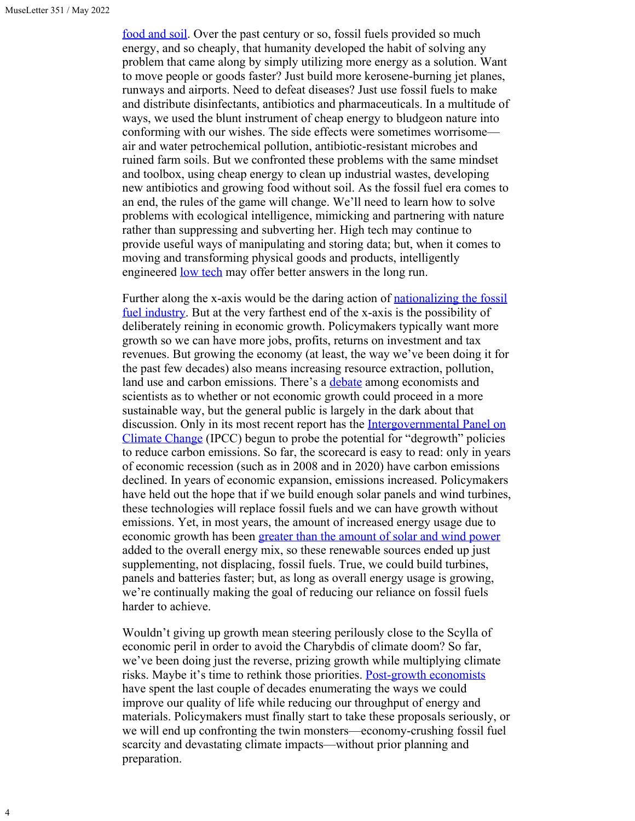4

[food and soil](https://www.sciencedirect.com/topics/agricultural-and-biological-sciences/ecological-farming). Over the past century or so, fossil fuels provided so much energy, and so cheaply, that humanity developed the habit of solving any problem that came along by simply utilizing more energy as a solution. Want to move people or goods faster? Just build more kerosene-burning jet planes, runways and airports. Need to defeat diseases? Just use fossil fuels to make and distribute disinfectants, antibiotics and pharmaceuticals. In a multitude of ways, we used the blunt instrument of cheap energy to bludgeon nature into conforming with our wishes. The side effects were sometimes worrisome air and water petrochemical pollution, antibiotic-resistant microbes and ruined farm soils. But we confronted these problems with the same mindset and toolbox, using cheap energy to clean up industrial wastes, developing new antibiotics and growing food without soil. As the fossil fuel era comes to an end, the rules of the game will change. We'll need to learn how to solve problems with ecological intelligence, mimicking and partnering with nature rather than suppressing and subverting her. High tech may continue to provide useful ways of manipulating and storing data; but, when it comes to moving and transforming physical goods and products, intelligently engineered <u>low tech</u> may offer better answers in the long run.

Further along the x-axis would be the daring action of [nationalizing the fossil](https://thenextsystem.org/learn/stories/case-public-ownership-fossil-fuel-industry) [fuel industry.](https://thenextsystem.org/learn/stories/case-public-ownership-fossil-fuel-industry) But at the very farthest end of the x-axis is the possibility of deliberately reining in economic growth. Policymakers typically want more growth so we can have more jobs, profits, returns on investment and tax revenues. But growing the economy (at least, the way we've been doing it for the past few decades) also means increasing resource extraction, pollution, land use and carbon emissions. There's a [debate](https://www.nature.com/articles/d41586-022-00723-1) among economists and scientists as to whether or not economic growth could proceed in a more sustainable way, but the general public is largely in the dark about that discussion. Only in its most recent report has the [Intergovernmental Panel on](https://timotheeparrique.com/degrowth-in-the-ipcc-ar6-wgii/) [Climate Change](https://timotheeparrique.com/degrowth-in-the-ipcc-ar6-wgii/) (IPCC) begun to probe the potential for "degrowth" policies to reduce carbon emissions. So far, the scorecard is easy to read: only in years of economic recession (such as in 2008 and in 2020) have carbon emissions declined. In years of economic expansion, emissions increased. Policymakers have held out the hope that if we build enough solar panels and wind turbines, these technologies will replace fossil fuels and we can have growth without emissions. Yet, in most years, the amount of increased energy usage due to economic growth has been [greater than the amount of solar and wind power](https://dieselnet.com/news/2021/06ren21.php) added to the overall energy mix, so these renewable sources ended up just supplementing, not displacing, fossil fuels. True, we could build turbines, panels and batteries faster; but, as long as overall energy usage is growing, we're continually making the goal of reducing our reliance on fossil fuels harder to achieve.

Wouldn't giving up growth mean steering perilously close to the Scylla of economic peril in order to avoid the Charybdis of climate doom? So far, we've been doing just the reverse, prizing growth while multiplying climate risks. Maybe it's time to rethink those priorities. [Post-growth economists](https://www.newyorker.com/magazine/2020/02/10/can-we-have-prosperity-without-growth) have spent the last couple of decades enumerating the ways we could improve our quality of life while reducing our throughput of energy and materials. Policymakers must finally start to take these proposals seriously, or we will end up confronting the twin monsters—economy-crushing fossil fuel scarcity and devastating climate impacts—without prior planning and preparation.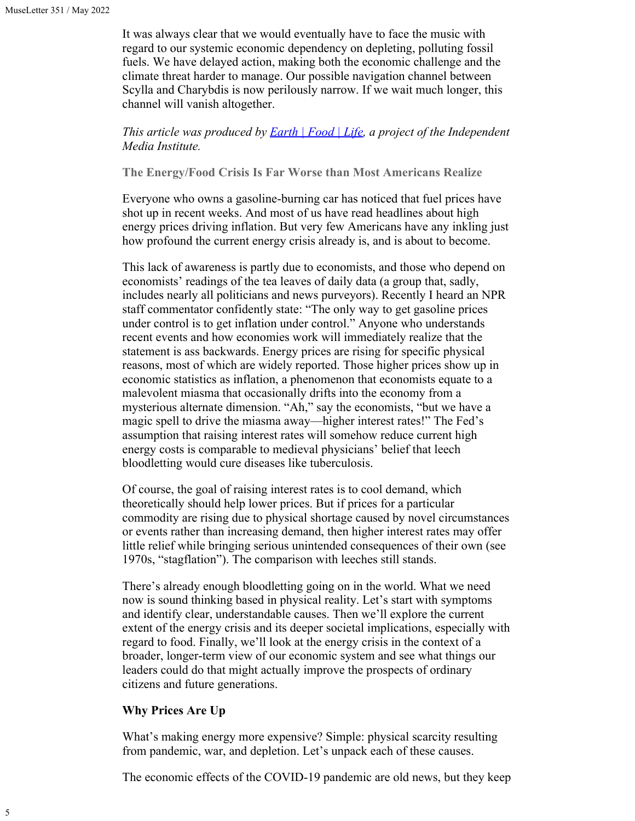It was always clear that we would eventually have to face the music with regard to our systemic economic dependency on depleting, polluting fossil fuels. We have delayed action, making both the economic challenge and the climate threat harder to manage. Our possible navigation channel between Scylla and Charybdis is now perilously narrow. If we wait much longer, this channel will vanish altogether.

*This article was produced by [Earth | Food | Life](https://independentmediainstitute.org/earth-food-life/), a project of the Independent Media Institute.*

**The Energy/Food Crisis Is Far Worse than Most Americans Realize**

Everyone who owns a gasoline-burning car has noticed that fuel prices have shot up in recent weeks. And most of us have read headlines about high energy prices driving inflation. But very few Americans have any inkling just how profound the current energy crisis already is, and is about to become.

This lack of awareness is partly due to economists, and those who depend on economists' readings of the tea leaves of daily data (a group that, sadly, includes nearly all politicians and news purveyors). Recently I heard an NPR staff commentator confidently state: "The only way to get gasoline prices under control is to get inflation under control." Anyone who understands recent events and how economies work will immediately realize that the statement is ass backwards. Energy prices are rising for specific physical reasons, most of which are widely reported. Those higher prices show up in economic statistics as inflation, a phenomenon that economists equate to a malevolent miasma that occasionally drifts into the economy from a mysterious alternate dimension. "Ah," say the economists, "but we have a magic spell to drive the miasma away—higher interest rates!" The Fed's assumption that raising interest rates will somehow reduce current high energy costs is comparable to medieval physicians' belief that leech bloodletting would cure diseases like tuberculosis.

Of course, the goal of raising interest rates is to cool demand, which theoretically should help lower prices. But if prices for a particular commodity are rising due to physical shortage caused by novel circumstances or events rather than increasing demand, then higher interest rates may offer little relief while bringing serious unintended consequences of their own (see 1970s, "stagflation"). The comparison with leeches still stands.

There's already enough bloodletting going on in the world. What we need now is sound thinking based in physical reality. Let's start with symptoms and identify clear, understandable causes. Then we'll explore the current extent of the energy crisis and its deeper societal implications, especially with regard to food. Finally, we'll look at the energy crisis in the context of a broader, longer-term view of our economic system and see what things our leaders could do that might actually improve the prospects of ordinary citizens and future generations.

## **Why Prices Are Up**

What's making energy more expensive? Simple: physical scarcity resulting from pandemic, war, and depletion. Let's unpack each of these causes.

The economic effects of the COVID-19 pandemic are old news, but they keep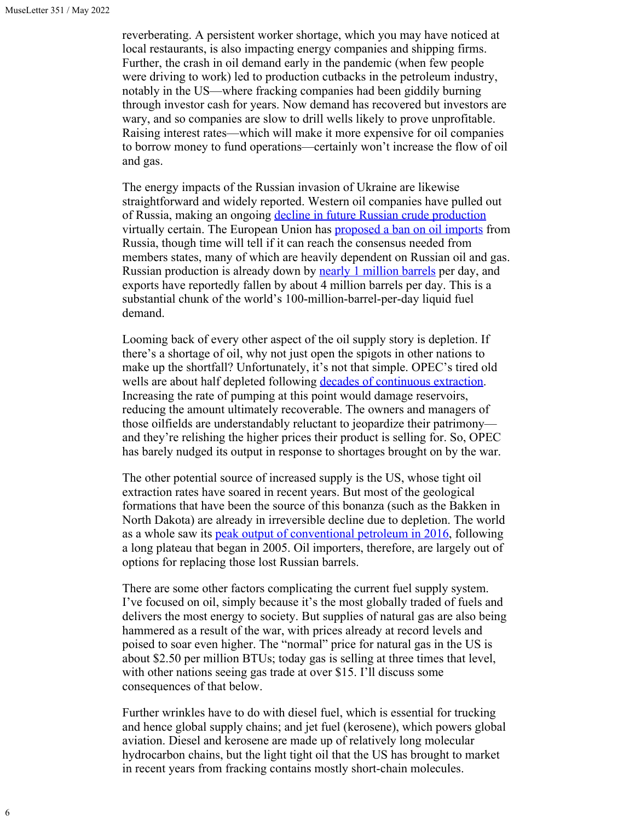reverberating. A persistent worker shortage, which you may have noticed at local restaurants, is also impacting energy companies and shipping firms. Further, the crash in oil demand early in the pandemic (when few people were driving to work) led to production cutbacks in the petroleum industry, notably in the US—where fracking companies had been giddily burning through investor cash for years. Now demand has recovered but investors are wary, and so companies are slow to drill wells likely to prove unprofitable. Raising interest rates—which will make it more expensive for oil companies to borrow money to fund operations—certainly won't increase the flow of oil and gas.

The energy impacts of the Russian invasion of Ukraine are likewise straightforward and widely reported. Western oil companies have pulled out of Russia, making an ongoing [decline in future Russian crude production](https://www.baystreet.ca/articles/commodities/77219/051022) virtually certain. The European Union has [proposed a ban on oil imports](https://www.npr.org/2022/05/04/1096596286/eu-europea-russia-oil-ban) from Russia, though time will tell if it can reach the consensus needed from members states, many of which are heavily dependent on Russian oil and gas. Russian production is already down by **<u>[nearly 1 million barrels](https://www.spglobal.com/commodityinsights/en/market-insights/latest-news/oil/050922-opec-april-crude-oil-output-tumbles-as-sanctions-hit-russian-output-platts-survey?mc_cid=74ffc3022f&mc_eid=300d9d9a54)</u>** per day, and exports have reportedly fallen by about 4 million barrels per day. This is a substantial chunk of the world's 100-million-barrel-per-day liquid fuel demand.

Looming back of every other aspect of the oil supply story is depletion. If there's a shortage of oil, why not just open the spigots in other nations to make up the shortfall? Unfortunately, it's not that simple. OPEC's tired old wells are about half depleted following [decades of continuous extraction.](https://financialpost.com/commodities/energy/saudi-arabias-biggest-oil-field-is-fading-faster-than-anyone-guessed) Increasing the rate of pumping at this point would damage reservoirs, reducing the amount ultimately recoverable. The owners and managers of those oilfields are understandably reluctant to jeopardize their patrimony and they're relishing the higher prices their product is selling for. So, OPEC has barely nudged its output in response to shortages brought on by the war.

The other potential source of increased supply is the US, whose tight oil extraction rates have soared in recent years. But most of the geological formations that have been the source of this bonanza (such as the Bakken in North Dakota) are already in irreversible decline due to depletion. The world as a whole saw its **peak output of conventional petroleum in 2016**, following a long plateau that began in 2005. Oil importers, therefore, are largely out of options for replacing those lost Russian barrels.

There are some other factors complicating the current fuel supply system. I've focused on oil, simply because it's the most globally traded of fuels and delivers the most energy to society. But supplies of natural gas are also being hammered as a result of the war, with prices already at record levels and poised to soar even higher. The "normal" price for natural gas in the US is about \$2.50 per million BTUs; today gas is selling at three times that level, with other nations seeing gas trade at over \$15. I'll discuss some consequences of that below.

Further wrinkles have to do with diesel fuel, which is essential for trucking and hence global supply chains; and jet fuel (kerosene), which powers global aviation. Diesel and kerosene are made up of relatively long molecular hydrocarbon chains, but the light tight oil that the US has brought to market in recent years from fracking contains mostly short-chain molecules.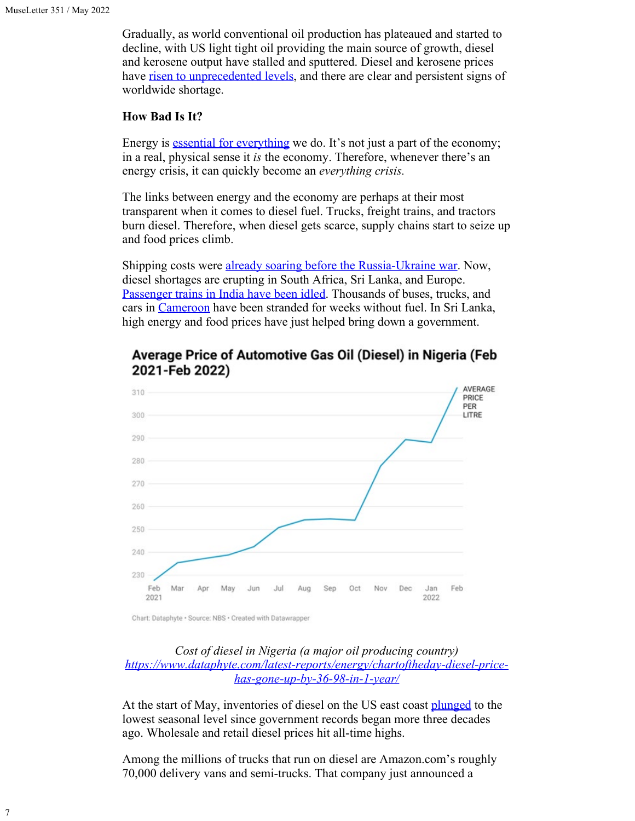Gradually, as world conventional oil production has plateaued and started to decline, with US light tight oil providing the main source of growth, diesel and kerosene output have stalled and sputtered. Diesel and kerosene prices have [risen to unprecedented levels,](https://www.cnbc.com/2022/05/07/diesel-fuel-is-in-short-supply-as-prices-surge-heres-what-that-means-for-inflation.html) and there are clear and persistent signs of worldwide shortage.

### **How Bad Is It?**

Energy is [essential for everything](https://www.bls.gov/news.release/cpi.nr0.htm) we do. It's not just a part of the economy; in a real, physical sense it *is* the economy. Therefore, whenever there's an energy crisis, it can quickly become an *everything crisis.*

The links between energy and the economy are perhaps at their most transparent when it comes to diesel fuel. Trucks, freight trains, and tractors burn diesel. Therefore, when diesel gets scarce, supply chains start to seize up and food prices climb.

Shipping costs were [already soaring before the Russia-Ukraine war](https://time.com/6073233/shipping-costs-surge-price-hike-goods/). Now, diesel shortages are erupting in South Africa, Sri Lanka, and Europe. [Passenger trains in India have been idled.](https://timesofindia.indiatimes.com/city/kochi/diesel-shortage-rtc-cuts-trips-from-kasaragod/articleshow/91362578.cms) Thousands of buses, trucks, and cars in [Cameroon](https://www.voanews.com/a/cameroon-blames-fuel-shortage-on-russia-sanctions/6539050.html) have been stranded for weeks without fuel. In Sri Lanka, high energy and food prices have just helped bring down a government.



# Average Price of Automotive Gas Oil (Diesel) in Nigeria (Feb 2021-Feb 2022)

## *Cost of diesel in Nigeria (a major oil producing country) [https://www.dataphyte.com/latest-reports/energy/chartoftheday-diesel-price](https://www.dataphyte.com/latest-reports/energy/chartoftheday-diesel-price-has-gone-up-by-36-98-in-1-year/)[has-gone-up-by-36-98-in-1-year/](https://www.dataphyte.com/latest-reports/energy/chartoftheday-diesel-price-has-gone-up-by-36-98-in-1-year/)*

At the start of May, inventories of diesel on the US east coast [plunged](https://www.freightwaves.com/news/east-coast-diesel-market-a-growing-concern-as-inventories-plummet) to the lowest seasonal level since government records began more three decades ago. Wholesale and retail diesel prices hit all-time highs.

Among the millions of trucks that run on diesel are Amazon.com's roughly 70,000 delivery vans and semi-trucks. That company just announced a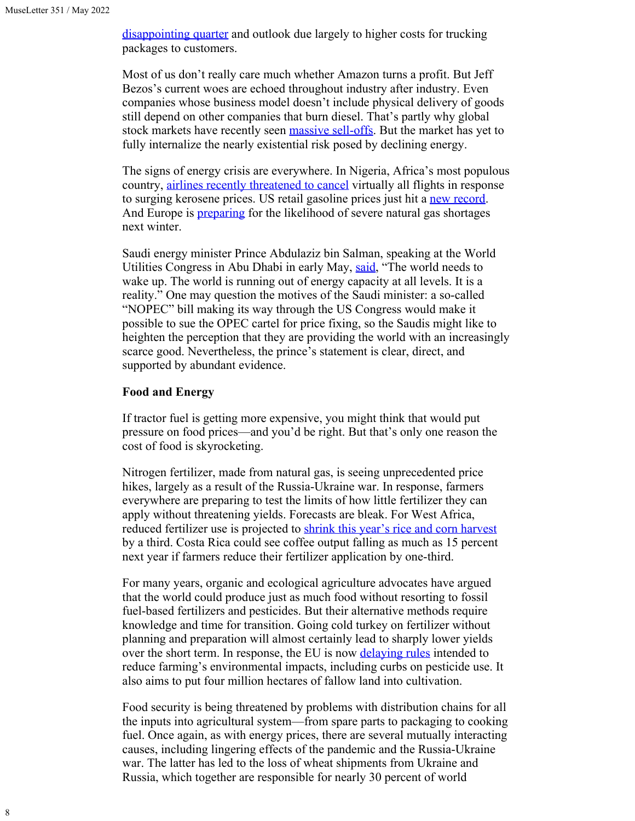[disappointing quarter](https://techcrunch.com/2022/04/29/amazon-stock-plunges-to-two-year-low-following-first-quarter-loss/) and outlook due largely to higher costs for trucking packages to customers.

Most of us don't really care much whether Amazon turns a profit. But Jeff Bezos's current woes are echoed throughout industry after industry. Even companies whose business model doesn't include physical delivery of goods still depend on other companies that burn diesel. That's partly why global stock markets have recently seen [massive sell-offs](https://www.npr.org/2022/05/09/1097716439/stocks-sink-selloff-wall-street-inflation-recession). But the market has yet to fully internalize the nearly existential risk posed by declining energy.

The signs of energy crisis are everywhere. In Nigeria, Africa's most populous country, [airlines recently threatened to cancel](https://www.bloomberg.com/news/articles/2022-05-10/african-airlines-join-forces-to-stave-off-jet-fuel-price-crisis?srnd=markets-vp&sref=fyhEsXfZ&mc_cid=74ffc3022f&mc_eid=300d9d9a54) virtually all flights in response to surging kerosene prices. US retail gasoline prices just hit a [new record](https://www.reuters.com/business/energy/us-retail-gasoline-prices-hit-new-record-refiners-struggle-meet-demand-2022-05-10/?mc_cid=74ffc3022f&mc_eid=300d9d9a54). And Europe is **preparing** for the likelihood of severe natural gas shortages next winter.

Saudi energy minister Prince Abdulaziz bin Salman, speaking at the World Utilities Congress in Abu Dhabi in early May, [said](https://www.spglobal.com/commodityinsights/en/market-insights/latest-news/oil/051022-saudi-uae-energy-ministers-say-nopec-bill-risks-destabilizing-the-oil-market?mc_cid=74ffc3022f&mc_eid=300d9d9a54), "The world needs to wake up. The world is running out of energy capacity at all levels. It is a reality." One may question the motives of the Saudi minister: a so-called "NOPEC" bill making its way through the US Congress would make it possible to sue the OPEC cartel for price fixing, so the Saudis might like to heighten the perception that they are providing the world with an increasingly scarce good. Nevertheless, the prince's statement is clear, direct, and supported by abundant evidence.

### **Food and Energy**

If tractor fuel is getting more expensive, you might think that would put pressure on food prices—and you'd be right. But that's only one reason the cost of food is skyrocketing.

Nitrogen fertilizer, made from natural gas, is seeing unprecedented price hikes, largely as a result of the Russia-Ukraine war. In response, farmers everywhere are preparing to test the limits of how little fertilizer they can apply without threatening yields. Forecasts are bleak. For West Africa, reduced fertilizer use is projected to [shrink this year's rice and corn harvest](https://www.bloomberg.com/news/articles/2022-05-01/farmers-are-struggling-to-keep-up-food-supply-as-fertilizer-prices-surge) by a third. Costa Rica could see coffee output falling as much as 15 percent next year if farmers reduce their fertilizer application by one-third.

For many years, organic and ecological agriculture advocates have argued that the world could produce just as much food without resorting to fossil fuel-based fertilizers and pesticides. But their alternative methods require knowledge and time for transition. Going cold turkey on fertilizer without planning and preparation will almost certainly lead to sharply lower yields over the short term. In response, the EU is now [delaying rules](https://friendsoftheearth.eu/press-release/delaying-the-eu-pesticide-law-revision-could-lead-to-years-of-toxic-inaction/) intended to reduce farming's environmental impacts, including curbs on pesticide use. It also aims to put four million hectares of fallow land into cultivation.

Food security is being threatened by problems with distribution chains for all the inputs into agricultural system—from spare parts to packaging to cooking fuel. Once again, as with energy prices, there are several mutually interacting causes, including lingering effects of the pandemic and the Russia-Ukraine war. The latter has led to the loss of wheat shipments from Ukraine and Russia, which together are responsible for nearly 30 percent of world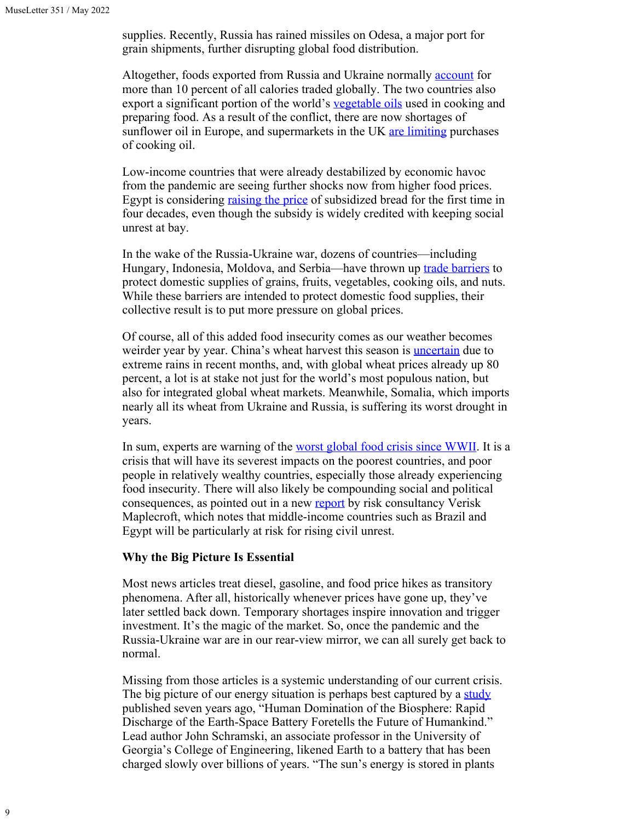supplies. Recently, Russia has rained missiles on Odesa, a major port for grain shipments, further disrupting global food distribution.

Altogether, foods exported from Russia and Ukraine normally **[account](https://www.bloomberg.com/news/articles/2022-03-08/war-in-ukraine-compounds-global-food-inflation-hunger-crisis)** for more than 10 percent of all calories traded globally. The two countries also export a significant portion of the world's [vegetable oils](https://chicago.suntimes.com/2022/4/26/23043581/cooking-oil-prices-russia-ukraine-war-inflation#:~:text=The%20war%20in%20Ukraine%20%E2%80%94%20which,affected%20the%20global%20food%20supply.) used in cooking and preparing food. As a result of the conflict, there are now shortages of sunflower oil in Europe, and supermarkets in the UK [are limiting](https://www.bloomberg.com/news/articles/2022-04-23/supermarkets-limit-cooking-oil-purchases-after-supplies-hit-by-ukraine-war?srnd=premium-europe&sref=XNB4Nygj) purchases of cooking oil.

Low-income countries that were already destabilized by economic havoc from the pandemic are seeing further shocks now from higher food prices. Egypt is considering raising [the price](https://www.bloomberg.com/news/articles/2022-03-02/war-choking-off-wheat-leaves-middle-east-buyers-most-vulnerable?sref=XNB4Nygj) of subsidized bread for the first time in four decades, even though the subsidy is widely credited with keeping social unrest at bay.

In the wake of the Russia-Ukraine war, dozens of countries—including Hungary, Indonesia, Moldova, and Serbia—have thrown up [trade barriers](https://www.nytimes.com/2022/04/30/business/economy/global-food-prices-ukraine.html) to protect domestic supplies of grains, fruits, vegetables, cooking oils, and nuts. While these barriers are intended to protect domestic food supplies, their collective result is to put more pressure on global prices.

Of course, all of this added food insecurity comes as our weather becomes weirder year by year. China's wheat harvest this season is **[uncertain](https://www.nytimes.com/2022/05/11/business/china-wheat-food-prices-inflation.html)** due to extreme rains in recent months, and, with global wheat prices already up 80 percent, a lot is at stake not just for the world's most populous nation, but also for integrated global wheat markets. Meanwhile, Somalia, which imports nearly all its wheat from Ukraine and Russia, is suffering its worst drought in years.

In sum, experts are warning of the [worst global food crisis since WWII](https://www.voanews.com/a/head-of-un-food-agency-says-war-in-ukraine-will-lead-to-worst-food-crisis-since-world-war-ii/6507466.html). It is a crisis that will have its severest impacts on the poorest countries, and poor people in relatively wealthy countries, especially those already experiencing food insecurity. There will also likely be compounding social and political consequences, as pointed out in a new [report](https://www.reuters.com/world/soaring-food-fuel-ramp-up-social-unrest-risk-emerging-markets-report-2022-05-11/?mc_cid=e5a9bd170e&mc_eid=300d9d9a54) by risk consultancy Verisk Maplecroft, which notes that middle-income countries such as Brazil and Egypt will be particularly at risk for rising civil unrest.

#### **Why the Big Picture Is Essential**

Most news articles treat diesel, gasoline, and food price hikes as transitory phenomena. After all, historically whenever prices have gone up, they've later settled back down. Temporary shortages inspire innovation and trigger investment. It's the magic of the market. So, once the pandemic and the Russia-Ukraine war are in our rear-view mirror, we can all surely get back to normal.

Missing from those articles is a systemic understanding of our current crisis. The big picture of our energy situation is perhaps best captured by a [study](https://news.uga.edu/earths-battery-draining-fast-sustain-life/) published seven years ago, "Human Domination of the Biosphere: Rapid Discharge of the Earth-Space Battery Foretells the Future of Humankind." Lead author John Schramski, an associate professor in the University of Georgia's College of Engineering, likened Earth to a battery that has been charged slowly over billions of years. "The sun's energy is stored in plants